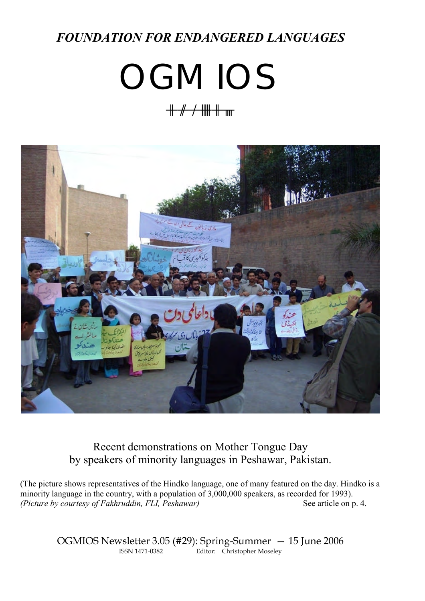## *FOUNDATION FOR ENDANGERED LANGUAGES*

# **OGMIOS**

# ogmios



Recent demonstrations on Mother Tongue Day by speakers of minority languages in Peshawar, Pakistan.

(The picture shows representatives of the Hindko language, one of many featured on the day. Hindko is a minority language in the country, with a population of 3,000,000 speakers, as recorded for 1993). *(Picture by courtesy of Fakhruddin, FLI, Peshawar)* See article on p. 4.

> OGMIOS Newsletter 3.05 (#29): Spring-Summer - 15 June 2006<br>
> ISSN 1471-0382<br>
> Editor: Christopher Moseley Editor: Christopher Moseley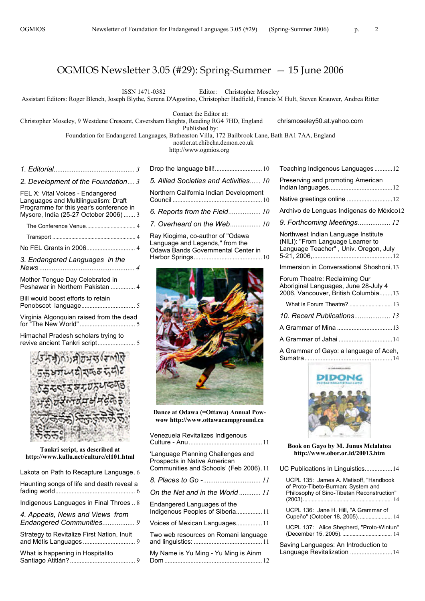ISSN 1471-0382 Editor: Christopher Moseley

Assistant Editors: Roger Blench, Joseph Blythe, Serena D'Agostino, Christopher Hadfield, Francis M Hult, Steven Krauwer, Andrea Ritter

Contact the Editor at:

Christopher Moseley, 9 Westdene Crescent, Caversham Heights, Reading RG4 7HD, England chrismoseley50.at.yahoo.com

Published by:

Foundation for Endangered Languages, Batheaston Villa, 172 Bailbrook Lane, Bath BA1 7AA, England

nostler.at.chibcha.demon.co.uk

http://www.ogmios.org

|                                                                                  | С      |
|----------------------------------------------------------------------------------|--------|
| 2. Development of the Foundation 3                                               | 5      |
| FEL X: Vital Voices - Endangered<br>Languages and Multilingualism: Draft         | Ν<br>C |
| Programme for this year's conference in<br>Mysore, India (25-27 October 2006)  3 | 6      |
|                                                                                  | 7      |
|                                                                                  | F      |
|                                                                                  | L<br>C |
| 3. Endangered Languages in the                                                   | ۲      |
| Mother Tongue Day Celebrated in<br>Peshawar in Northern Pakistan  4              |        |
| Bill would boost efforts to retain                                               |        |
| Virginia Algonquian raised from the dead                                         |        |
| Himachal Pradesh scholars trying to<br>オンフィーティング ストラン アクセス                       |        |



**Tankri script, as described at http://www.kullu.net/culture/cl101.html**

| Lakota on Path to Recapture Language. 6    |   |
|--------------------------------------------|---|
| Haunting songs of life and death reveal a  | ۶ |
|                                            | C |
| Indigenous Languages in Final Throes  8    | F |
| 4. Appeals, News and Views from            | h |
|                                            | ι |
| Strategy to Revitalize First Nation, Inuit | T |
|                                            | a |
| What is happening in Hospitalito           | Λ |
|                                            | г |
|                                            |   |

| 5. Allied Societies and Activities 10  |  |
|----------------------------------------|--|
| Northern California Indian Development |  |
|                                        |  |
| 7. Overheard on the Web 10             |  |
| Pay Kingima, co-author of "Odawa       |  |

Ray Kiogima, co-author of "Odawa Language and Legends," from the Odawa Bands Governmental Center in Harbor Springs.......................................... 10



**Dance at Odawa (=Ottawa) Annual Powwow http://www.ottawacampground.ca**

| Venezuela Revitalizes Indigenous                                                                             |  |
|--------------------------------------------------------------------------------------------------------------|--|
| 'Language Planning Challenges and<br>Prospects in Native American<br>Communities and Schools' (Feb 2006). 11 |  |
|                                                                                                              |  |
| On the Net and in the World 11                                                                               |  |
| Endangered Languages of the<br>Indigenous Peoples of Siberia 11                                              |  |
| Voices of Mexican Languages11                                                                                |  |
| Two web resources on Romani language                                                                         |  |
| My Name is Yu Ming - Yu Ming is Ainm                                                                         |  |

| Teaching Indigenous Languages12                                                                                   |
|-------------------------------------------------------------------------------------------------------------------|
| Preserving and promoting American                                                                                 |
| Native greetings online 12                                                                                        |
| Archivo de Lenguas Indígenas de México12                                                                          |
| 9. Forthcoming Meetings 12                                                                                        |
| Northwest Indian Language Institute<br>(NILI): "From Language Learner to<br>Language Teacher", Univ. Oregon, July |
| Immersion in Conversational Shoshoni.13                                                                           |
| Forum Theatre: Reclaiming Our<br>Aboriginal Languages, June 28-July 4<br>2006, Vancouver, British Columbia13      |
|                                                                                                                   |
| 10. Recent Publications 13                                                                                        |
|                                                                                                                   |



A Grammar of Jahai .................................14 A Grammar of Gayo: a language of Aceh,

**Book on Gayo by M. Junus Melalatoa http://www.obor.or.id/20013.htm**

| UC Publications in Linguistics14                                                                                           |  |
|----------------------------------------------------------------------------------------------------------------------------|--|
| UCPL 135: James A. Matisoff, "Handbook<br>of Proto-Tibeto-Burman: System and<br>Philosophy of Sino-Tibetan Reconstruction" |  |
| UCPL 136: Jane H. Hill, "A Grammar of<br>Cupeño" (October 18, 2005).  14                                                   |  |
| UCPL 137: Alice Shepherd, "Proto-Wintun"                                                                                   |  |
| Saving Languages: An Introduction to<br>Language Revitalization 14                                                         |  |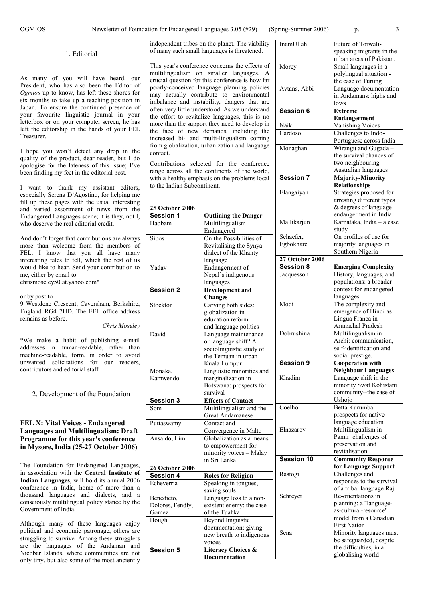InamUllah Future of Torwali-

Avtans, Abbi Language documentation

lows

Cardoso Challenges to Indo-

Monaghan Wirangu and Gugada –

**Session 7 Majority-Minority**

Elangaiyan Strategies proposed for

**Session 6 Extreme**

speaking migrants in the urban areas of Pakistan. Small languages in a polylingual situation the case of Turung

in Andamans: highs and

Portuguese across India

the survival chances of two neighbouring Australian languages

arresting different types

**Endangerment** Vanishing Voices

**Relationships**

1. Editorial

As many of you will have heard, our President, who has also been the Editor of *Ogmios* up to know, has left these shores for six months to take up a teaching position in Japan. To ensure the continued presence of your favourite linguistic journal in your letterbox or on your computer screen, he has left the editorship in the hands of your FEL Treasurer.

I hope you won't detect any drop in the quality of the product, dear reader, but I do apologise for the lateness of this issue; I've been finding my feet in the editorial post.

I want to thank my assistant editors, especially Serena D'Agostino, for helping me fill up these pages with the usual interesting and varied assortment of news from the Endangered Languages scene; it is they, not I, who deserve the real editorial credit.

And don't forget that contributions are always more than welcome from the members of FEL. I know that you all have many interesting tales to tell, which the rest of us would like to hear. Send your contribution to me, either by email to chrismoseley50.at.yahoo.com\*

or by post to

9 Westdene Crescent, Caversham, Berkshire, England RG4 7HD. The FEL office address remains as before.

*Chris Moseley*

\*We make a habit of publishing e-mail addresses in human-readable, rather than machine-readable, form, in order to avoid unwanted solicitations for our readers, contributors and editorial staff.

2. Development of the Foundation

#### **FEL X: Vital Voices - Endangered Languages and Multilingualism: Draft Programme for this year's conference in Mysore, India (25-27 October 2006)**

The Foundation for Endangered Languages, in association with the **Central Institute of Indian Languages**, will hold its annual 2006 conference in India, home of more than a thousand languages and dialects, and a consciously multilingual policy stance by the Government of India.

Although many of these languages enjoy political and economic patronage, others are struggling to survive. Among these strugglers are the languages of the Andaman and Nicobar Islands, where communities are not only tiny, but also some of the most anciently

independent tribes on the planet. The viability of many such small languages is threatened.

This year's conference concerns the effects of Morey multilingualism on smaller languages. A crucial question for this conference is how far poorly-conceived language planning policies may actually contribute to environmental imbalance and instability, dangers that are often very little understood. As we understand the effort to revitalize languages, this is no more than the support they need to develop in the face of new demands, including the increased bi- and multi-lingualism coming from globalization, urbanization and language contact.

Contributions selected for the conference range across all the continents of the world, with a healthy emphasis on the problems local to the Indian Subcontinent.

| <b>25 October 2006</b>              |                                    |                        | & degrees of language                    |
|-------------------------------------|------------------------------------|------------------------|------------------------------------------|
| Session 1                           | <b>Outlining the Danger</b>        |                        | endangerment in India                    |
| Haobam                              | Multilingualism                    | Mallikarjun            | Karnataka, India - a case                |
|                                     | Endangered                         |                        | study                                    |
| Sipos                               | On the Possibilities of            | Schaefer,              | On profiles of use for                   |
|                                     | Revitalising the Synya             | Egbokhare              | majority languages in                    |
|                                     | dialect of the Khanty              |                        | Southern Nigeria                         |
|                                     | language                           | <b>27 October 2006</b> |                                          |
| Yadav                               | Endangerment of                    | <b>Session 8</b>       | <b>Emerging Complexity</b>               |
|                                     | Nepal's indigenous                 | Jacquesson             | History, languages, and                  |
|                                     | languages                          |                        | populations: a broader                   |
| <b>Session 2</b>                    | <b>Development</b> and             |                        | context for endangered                   |
|                                     | Changes                            |                        | languages                                |
| Stockton                            | Carving both sides:                | Modi                   | The complexity and                       |
|                                     | globalization in                   |                        | emergence of Hindi as                    |
|                                     | education reform                   |                        | Lingua Franca in                         |
|                                     | and language politics              |                        | Arunachal Pradesh                        |
| David                               | Language maintenance               | Dobrushina             | Multilingualism in                       |
|                                     | or language shift? A               |                        | Archi: communication,                    |
|                                     | sociolinguistic study of           |                        | self-identification and                  |
|                                     | the Temuan in urban                |                        | social prestige.                         |
|                                     | Kuala Lumpur                       | Session 9              | <b>Cooperation with</b>                  |
| Monaka,                             | Linguistic minorities and          |                        | <b>Neighbour Languages</b>               |
| Kamwendo                            | marginalization in                 | Khadim                 | Language shift in the                    |
|                                     | Botswana: prospects for            |                        | minority Swat Kohistani                  |
|                                     | survival                           |                        | community--the case of                   |
| <b>Session 3</b>                    | <b>Effects of Contact</b>          |                        | Ushojo                                   |
| Som                                 | Multilingualism and the            | Coelho                 | Betta Kurumba:                           |
|                                     | <b>Great Andamanese</b>            |                        | prospects for native                     |
| Puttaswamy                          | Contact and                        |                        | language education<br>Multilingualism in |
|                                     | Convergence in Malto               | Elnazarov              | Pamir: challenges of                     |
| Ansaldo, Lim                        | Globalization as a means           |                        |                                          |
|                                     | to empowerment for                 |                        | preservation and<br>revitalisation       |
|                                     | minority voices - Malay            | Session 10             | <b>Community Response</b>                |
|                                     | in Sri Lanka                       |                        | for Language Support                     |
| <b>26 October 2006</b><br>Session 4 |                                    | Rastogi                | Challenges and                           |
|                                     | <b>Roles for Religion</b>          |                        | responses to the survival                |
| Echeverria                          | Speaking in tongues,               |                        | of a tribal language Raji                |
|                                     | saving souls                       | Schreyer               | Re-orientations in                       |
| Benedicto,                          | Language loss to a non-            |                        | planning: a "language-                   |
| Dolores, Fendly,                    | existent enemy: the case           |                        | as-cultural-resource"                    |
| Gomez                               | of the Tuahka                      |                        | model from a Canadian                    |
| Hough                               | <b>Beyond linguistic</b>           |                        | <b>First Nation</b>                      |
|                                     | documentation: giving              | Sena                   | Minority languages must                  |
|                                     | new breath to indigenous<br>voices |                        | be safeguarded, despite                  |
| <b>Session 5</b>                    | <b>Literacy Choices &amp;</b>      |                        | the difficulties, in a                   |
|                                     | <b>Documentation</b>               |                        | globalising world                        |
|                                     |                                    |                        |                                          |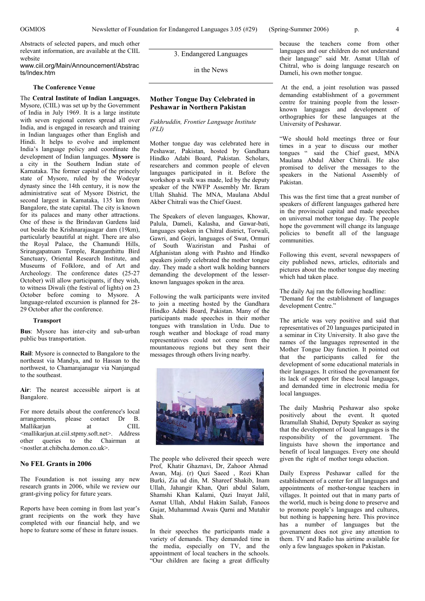Abstracts of selected papers, and much other relevant information, are available at the CIIL website

#### www.ciil.org/Main/Announcement/Abstrac ts/Index.htm

#### **The Conference Venue**

The **Central Institute of Indian Languages**, Mysore, (CIIL) was set up by the Government of India in July 1969. It is a large institute with seven regional centers spread all over India, and is engaged in research and training in Indian languages other than English and Hindi. It helps to evolve and implement India's language policy and coordinate the development of Indian languages. **Mysore** is a city in the Southern Indian state of Karnataka. The former capital of the princely state of Mysore, ruled by the Wodeyar dynasty since the 14th century, it is now the administrative seat of Mysore District, the second largest in Karnataka, 135 km from Bangalore, the state capital. The city is known for its palaces and many other attractions. One of these is the Brindavan Gardens laid out beside the Krishnarajasagar dam (19km), particularly beautiful at night. There are also the Royal Palace, the Chamundi Hills, Srirangapatnam Temple, Ranganthittu Bird Sanctuary, Oriental Research Institute, and Museums of Folklore, and of Art and Archeology. The conference dates (25-27 October) will allow participants, if they wish, to witness Diwali (the festival of lights) on 23 October before coming to Mysore. A language-related excursion is planned for 28- 29 October after the conference.

#### **Transport**

**Bus**: Mysore has inter-city and sub-urban public bus transportation.

**Rail**: Mysore is connected to Bangalore to the northeast via Mandya, and to Hassan to the northwest, to Chamarajanagar via Nanjangud to the southeast.

**Air**: The nearest accessible airport is at Bangalore.

For more details about the conference's local arrangements, please contact Dr B.<br>Mallikarium at CIII. Mallikarjun at <mallikarjun.at.ciil.stpmy.soft.net>. Address other queries to the Chairman at <nostler.at.chibcha.demon.co.uk>.

#### **No FEL Grants in 2006**

The Foundation is not issuing any new research grants in 2006, while we review our grant-giving policy for future years.

Reports have been coming in from last year's grant recipients on the work they have completed with our financial help, and we hope to feature some of these in future issues.

3. Endangered Languages

in the News

#### **Mother Tongue Day Celebrated in Peshawar in Northern Pakistan**

#### *Fakhruddin, Frontier Language Institute (FLI)*

Mother tongue day was celebrated here in Peshawar, Pakistan, hosted by Gandhara Hindko Adabi Board, Pakistan. Scholars, researchers and common people of eleven languages participated in it. Before the workshop a walk was made, led by the deputy speaker of the NWFP Assembly Mr. Ikram Ullah Shahid. The MNA, Maulana Abdul Akber Chitrali was the Chief Guest.

The Speakers of eleven languages, Khowar, Palula, Dameli, Kalasha, and Gawar-bati, languages spoken in Chitral district, Torwali, Gawri, and Gojri, languages of Swat, Ormuri of South Waziristan and Pashai of Afghanistan along with Pashto and Hindko speakers jointly celebrated the mother tongue day. They made a short walk holding banners demanding the development of the lesserknown languages spoken in the area.

Following the walk participants were invited to join a meeting hosted by the Gandhara Hindko Adabi Board, Pakistan. Many of the participants made speeches in their mother tongues with translation in Urdu. Due to rough weather and blockage of road many representatives could not come from the mountaneous regions but they sent their messages through others living nearby.



The people who delivered their speech were Prof, Khatir Ghaznavi, Dr, Zahoor Ahmad Awan, Maj. (r) Qazi Saeed , Rozi Khan Burki, Zia ud din, M. Shareef Shakib, Inam Ullah, Jahangir Khan, Qari abdul Salam, Shamshi Khan Kalami, Qazi Inayat Jalil, Asmat Ullah, Abdul Hakim Sailab, Fanoos Gujar, Muhammad Awais Qarni and Mutahir Shah.

In their speeches the participants made a variety of demands. They demanded time in the media, especially on TV, and the appointment of local teachers in the schools. "Our children are facing a great difficulty

because the teachers come from other languages and our children do not understand their language" said Mr. Asmat Ullah of Chitral, who is doing language research on Dameli, his own mother tongue.

At the end, a joint resolution was passed demanding establishment of a government centre for training people from the lesserknown languages and development of orthographies for these languages at the University of Peshawar.

"We should hold meetings three or four times in a year to discuss our mother tongues " said the Chief guest, MNA Maulana Abdul Akber Chitrali. He also promised to deliver the messages to the speakers in the National Assembly of Pakistan.

This was the first time that a great number of speakers of different languages gathered here in the provincial capital and made speeches on universal mother tongue day. The people hope the government will change its language policies to benefit all of the language communities.

Following this event, several newspapers of city published news, articles, editorials and pictures about the mother tongue day meeting which had taken place.

The daily Aaj ran the following headline: "Demand for the establishment of languages development Centre."

The article was very positive and said that representatives of 20 languages participated in a seminar in City University. It also gave the names of the languages represented in the Mother Tongue Day function. It pointed out that the participants called for the development of some educational materials in their languages. It critised the govenament for its lack of support for these local languages, and demanded time in electronic media for local languages.

The daily Mashriq Peshawar also spoke positively about the event. It quoted Ikramullah Shahid, Deputy Speaker as saying that the development of local languages is the responsibility of the government. The linguists have shown the importance and benefit of local languages. Every one should given the right of mother tongu eduction.

Daily Express Peshawar called for the establishment of a center for all languages and appointments of mother-tongue teachers in villages. It pointed out that in many parts of the world, much is being done to preserve and to promote people's languages and cultures, but nothing is happening here. This province has a number of languages but the govenament does not give any attention to them. TV and Radio has airtime available for only a few languages spoken in Pakistan.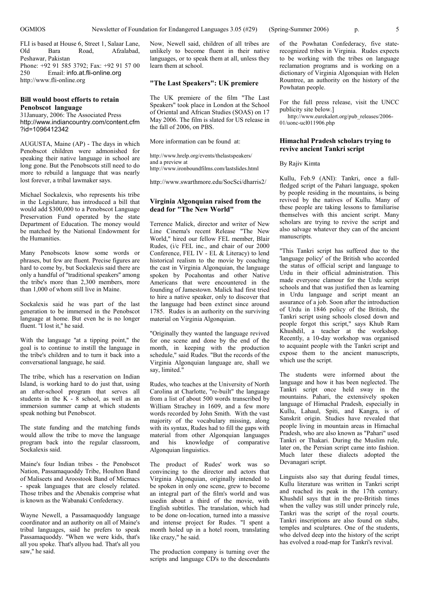FLI is based at House 6, Street 1, Salaar Lane, Old Bara Road, Afzalabad, Peshawar, Pakistan Phone: +92 91 585 3792; Fax: +92 91 57 00 250 Email: info.at.fli-online.org http://www.fli-online.org

#### **Bill would boost efforts to retain Penobscot language**

31January, 2006: The Associated Press http://www.indiancountry.com/content.cfm ?id=1096412342

AUGUSTA, Maine (AP) - The days in which Penobscot children were admonished for speaking their native language in school are long gone. But the Penobscots still need to do more to rebuild a language that was nearly lost forever, a tribal lawmaker says.

Michael Sockalexis, who represents his tribe in the Legislature, has introduced a bill that would add \$300,000 to a Penobscot Language Preservation Fund operated by the state Department of Education. The money would be matched by the National Endowment for the Humanities.

Many Penobscots know some words or phrases, but few are fluent. Precise figures are hard to come by, but Sockalexis said there are only a handful of ''traditional speakers'' among the tribe's more than 2,300 members, more than 1,000 of whom still live in Maine.

Sockalexis said he was part of the last generation to be immersed in the Penobscot language at home. But even he is no longer fluent. "I lost it," he said.

With the language ''at a tipping point,'' the goal is to continue to instill the language in the tribe's children and to turn it back into a conversational language, he said.

The tribe, which has a reservation on Indian Island, is working hard to do just that, using an after-school program that serves all students in the  $K - 8$  school, as well as an immersion summer camp at which students speak nothing but Penobscot.

The state funding and the matching funds would allow the tribe to move the language program back into the regular classroom, Sockalexis said.

Maine's four Indian tribes - the Penobscot Nation, Passamaquoddy Tribe, Houlton Band of Maliseets and Aroostook Band of Micmacs - speak languages that are closely related. Those tribes and the Abenakis comprise what is known as the Wabanaki Confederacy.

Wayne Newell, a Passamaquoddy language coordinator and an authority on all of Maine's tribal languages, said he prefers to speak Passamaquoddy. ''When we were kids, that's all you spoke. That's allyou had. That's all you saw," he said.

Now, Newell said, children of all tribes are unlikely to become fluent in their native languages, or to speak them at all, unless they learn them at school.

#### **"The Last Speakers": UK premiere**

The UK premiere of the film "The Last Speakers" took place in London at the School of Oriental and African Studies (SOAS) on 17 May 2006. The film is slated for US release in the fall of 2006, on PBS.

More information can be found at:

http://www.hrelp.org/events/thelastspeakers/ and a preview at http://www.ironboundfilms.com/lastslides.html

http://www.swarthmore.edu/SocSci/dharris2/

#### **Virginia Algonquian raised from the dead for "The New World"**

Terrence Malick, director and writer of New Line Cinema's recent Release "The New World," hired our fellow FEL member, Blair Rudes, (i/c FEL inc., and chair of our 2000 Conference, FEL IV - EL & Literacy) to lend historical realism to the movie by coaching the cast in Virginia Algonquian, the language spoken by Pocahontas and other Native Americans that were encountered in the founding of Jamestown. Malick had first tried to hire a native speaker, only to discover that the language had been extinct since around 1785. Rudes is an authority on the surviving material on Virginia Algonquian.

"Originally they wanted the language revived for one scene and done by the end of the month, in keeping with the production schedule," said Rudes. "But the records of the Virginia Algonquian language are, shall we say, limited."

Rudes, who teaches at the University of North Carolina at Charlotte, "re-built" the language from a list of about 500 words transcribed by William Strachey in 1609, and a few more words recorded by John Smith. With the vast majority of the vocabulary missing, along with its syntax, Rudes had to fill the gaps with material from other Algonquian languages and his knowledge of comparative Algonquian linguistics.

The product of Rudes' work was so convincing to the director and actors that Virginia Algonquian, originally intended to be spoken in only one scene, grew to become an integral part of the film's world and was usedin about a third of the movie, with English subtitles. The translation, which had to be done on-location, turned into a massive and intense project for Rudes. "I spent a month holed up in a hotel room, translating like crazy," he said.

The production company is turning over the scripts and language CD's to the descendants

of the Powhatan Confederacy, five staterecognized tribes in Virginia. Rudes expects to be working with the tribes on language reclamation programs and is working on a dictionary of Virginia Algonquian with Helen Rountree, an authority on the history of the Powhatan people.

For the full press release, visit the UNCC publicity site below.]

http://www.eurekalert.org/pub\_releases/2006-01/uonc-ucl011906.php

#### **Himachal Pradesh scholars trying to revive ancient Tankri script**

By Rajiv Kimta

Kullu, Feb.9 (ANI): Tankri, once a fullfledged script of the Pahari language, spoken by people residing in the mountains, is being revived by the natives of Kullu. Many of these people are taking lessons to familiarise themselves with this ancient script. Many scholars are trying to revive the script and also salvage whatever they can of the ancient manuscripts.

"This Tankri script has suffered due to the 'language policy' of the British who accorded the status of official script and language to Urdu in their official administration. This made everyone clamour for the Urdu script schools and that was justified then as learning in Urdu language and script meant an assurance of a job. Soon after the introduction of Urdu in 1846 policy of the British, the Tankri script using schools closed down and people forgot this script," says Khub Ram Khushdil, a teacher at the workshop. Recently, a 10-day workshop was organised to acquaint people with the Tankri script and expose them to the ancient manuscripts, which use the script.

The students were informed about the language and how it has been neglected. The Tankri script once held sway in the mountains. Pahari, the extensively spoken language of Himachal Pradesh, especially in Kullu, Lahaul, Spiti, and Kangra, is of Sanskrit origin. Studies have revealed that people living in mountain areas in Himachal Pradesh, who are also known as "Pahari" used Tankri or Thakari. During the Muslim rule, later on, the Persian script came into fashion. Much later these dialects adopted the Devanagari script.

Linguists also say that during feudal times, Kullu literature was written in Tankri script and reached its peak in the 17th century. Khushdil says that in the pre-British times when the valley was still under princely rule. Tankri was the script of the royal courts. Tankri inscriptions are also found on slabs, temples and sculptures. One of the students, who delved deep into the history of the script has evolved a road-map for Tankri's revival.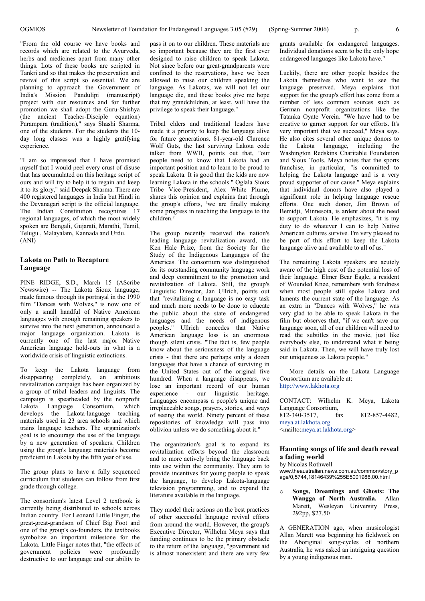"From the old course we have books and records which are related to the Ayurveda, herbs and medicines apart from many other things. Lots of these books are scripted in Tankri and so that makes the preservation and revival of this script so essential. We are planning to approach the Government of India's Mission Pandulipi (manuscript) project with our resources and for further promotion we shall adopt the Guru-Shishya (the ancient Teacher-Disciple equation) Parampara (tradition)," says Shashi Sharma, one of the students. For the students the 10 day long classes was a highly gratifying experience.

"I am so impressed that I have promised myself that I would peel every crust of disuse that has accumulated on this heritage script of ours and will try to help it to regain and keep it to its glory," said Deepak Sharma. There are 400 registered languages in India but Hindi in the Devanagari script is the official language. The Indian Constitution recognizes 17 regional languages, of which the most widely spoken are Bengali, Gujarati, Marathi, Tamil, Telugu , Malayalam, Kannada and Urdu. (ANI)

#### **Lakota on Path to Recapture Language**

PINE RIDGE, S.D., March 15 (AScribe Newswire) -- The Lakota Sioux language, made famous through its portrayal in the 1990 film "Dances with Wolves," is now one of only a small handful of Native American languages with enough remaining speakers to survive into the next generation, announced a major language organization. Lakota is currently one of the last major Native American language hold-outs in what is a worldwide crisis of linguistic extinctions.

To keep the Lakota language from disappearing completely, an ambitious revitalization campaign has been organized by a group of tribal leaders and linguists. The campaign is spearheaded by the nonprofit Lakota Language Consortium, which develops the Lakota-language teaching materials used in 23 area schools and which trains language teachers. The organization's goal is to encourage the use of the language by a new generation of speakers. Children using the group's language materials become proficient in Lakota by the fifth year of use.

The group plans to have a fully sequenced curriculum that students can follow from first grade through college.

The consortium's latest Level 2 textbook is currently being distributed to schools across Indian country. For Leonard Little Finger, the great-great-grandson of Chief Big Foot and one of the group's co-founders, the textbooks symbolize an important milestone for the Lakota. Little Finger notes that, "the effects of government policies were profoundly destructive to our language and our ability to

pass it on to our children. These materials are so important because they are the first ever designed to raise children to speak Lakota. Not since before our great-grandparents were confined to the reservations, have we been allowed to raise our children speaking the language. As Lakotas, we will not let our language die, and these books give me hope that my grandchildren, at least, will have the privilege to speak their language."

Tribal elders and traditional leaders have made it a priority to keep the language alive for future generations. 81-year-old Clarence Wolf Guts, the last surviving Lakota code talker from WWII, points out that, "our people need to know that Lakota had an important position and to learn to be proud to speak Lakota. It is good that the kids are now learning Lakota in the schools." Oglala Sioux Tribe Vice-President, Alex White Plume, shares this opinion and explains that through the group's efforts, <sup>3</sup>we are finally making some progress in teaching the language to the children<sup>2</sup>

The group recently received the nation's leading language revitalization award, the Ken Hale Prize, from the Society for the Study of the Indigenous Languages of the Americas. The consortium was distinguished for its outstanding community language work and deep commitment to the promotion and revitalization of Lakota. Still, the group's Linguistic Director, Jan Ullrich, points out that "revitalizing a language is no easy task and much more needs to be done to educate the public about the state of endangered languages and the needs of indigenous peoples." Ullrich concedes that Native American language loss is an enormous though silent crisis. "The fact is, few people know about the seriousness of the language crisis - that there are perhaps only a dozen languages that have a chance of surviving in the United States out of the original five hundred. When a language disappears, we lose an important record of our human experience - our linguistic heritage. Languages encompass a people's unique and irreplaceable songs, prayers, stories, and ways of seeing the world. Ninety percent of these repositories of knowledge will pass into oblivion unless we do something about it."

The organization's goal is to expand its revitalization efforts beyond the classroom and to more actively bring the language back into use within the community. They aim to provide incentives for young people to speak the language, to develop Lakota-language television programming, and to expand the literature available in the language.

They model their actions on the best practices of other successful language revival efforts from around the world. However, the group's Executive Director, Wilhelm Meya says that funding continues to be the primary obstacle to the return of the language, "government aid is almost nonexistent and there are very few

grants available for endangered languages. Individual donations seem to be the only hope endangered languages like Lakota have."

Luckily, there are other people besides the Lakota themselves who want to see the language preserved. Meya explains that support for the group's effort has come from a number of less common sources such as German nonprofit organizations like the Tatanka Oyate Verein. "We have had to be creative to garner support for our efforts. It's very important that we succeed," Meya says. He also cites several other unique donors to the Lakota language, including the Washington Redskins Charitable Foundation and Sioux Tools. Meya notes that the sports franchise, in particular, "is committed to helping the Lakota language and is a very proud supporter of our cause." Meya explains that individual donors have also played a significant role in helping language rescue efforts. One such donor, Jim Brown of Bemidji, Minnesota, is ardent about the need to support Lakota. He emphasizes, "it is my duty to do whatever I can to help Native American cultures survive. I'm very pleased to be part of this effort to keep the Lakota language alive and available to all of us."

The remaining Lakota speakers are acutely aware of the high cost of the potential loss of their language. Elmer Bear Eagle, a resident of Wounded Knee, remembers with fondness when most people still spoke Lakota and laments the current state of the language. As an extra in "Dances with Wolves," he was very glad to be able to speak Lakota in the film but observes that, "if we can't save our language soon, all of our children will need to read the subtitles in the movie, just like everybody else, to understand what it being said in Lakota. Then, we will have truly lost our uniqueness as Lakota people."

More details on the Lakota Language Consortium are available at: http://www.lakhota.org

| CONTACT: Wilhelm K. Meya, Lakota                          |     |  |  |               |
|-----------------------------------------------------------|-----|--|--|---------------|
| Language Consortium,                                      |     |  |  |               |
| 812-340-3517.                                             | fax |  |  | 812-857-4482. |
| meya.at.lakhota.org                                       |     |  |  |               |
| <mailto:meya.at.lakhota.org></mailto:meya.at.lakhota.org> |     |  |  |               |
|                                                           |     |  |  |               |

#### **Haunting songs of life and death reveal a fading world**

by Nicolas Rothwell

www.theaustralian.news.com.au/common/story\_p age/0,5744,18146439%255E5001986,00.html

o **Songs, Dreamings and Ghosts: The Wangga of North Australia.** Allan Marett, Wesleyan University Press, 292pp, \$27.50

A GENERATION ago, when musicologist Allan Marett was beginning his fieldwork on the Aboriginal song-cycles of northern Australia, he was asked an intriguing question by a young indigenous man.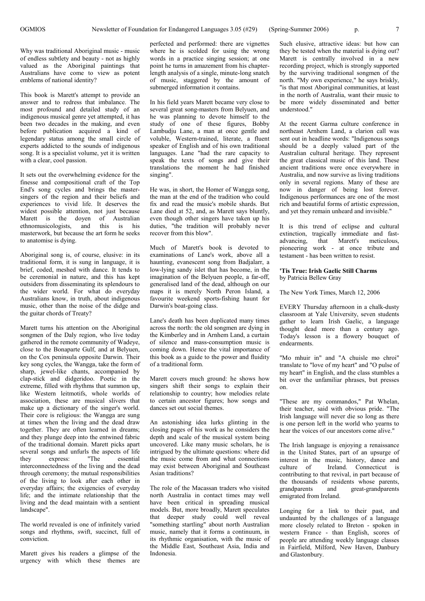Why was traditional Aboriginal music - music of endless subtlety and beauty - not as highly valued as the Aboriginal paintings that Australians have come to view as potent emblems of national identity?

This book is Marett's attempt to provide an answer and to redress that imbalance. The most profound and detailed study of an indigenous musical genre yet attempted, it has been two decades in the making, and even before publication acquired a kind of legendary status among the small circle of experts addicted to the sounds of indigenous song. It is a specialist volume, yet it is written with a clear, cool passion.

It sets out the overwhelming evidence for the finesse and compositional craft of the Top End's song cycles and brings the mastersingers of the region and their beliefs and experiences to vivid life. It deserves the widest possible attention, not just because Marett is the doyen of Australian ethnomusicologists, and this is his masterwork, but because the art form he seeks to anatomise is dying.

Aboriginal song is, of course, elusive: in its traditional form, it is sung in language, it is brief, coded, meshed with dance. It tends to be ceremonial in nature, and this has kept outsiders from disseminating its splendours to the wider world. For what do everyday Australians know, in truth, about indigenous music, other than the noise of the didge and the guitar chords of Treaty?

Marett turns his attention on the Aboriginal songmen of the Daly region, who live today gathered in the remote community of Wadeye, close to the Bonaparte Gulf, and at Belyuen, on the Cox peninsula opposite Darwin. Their key song cycles, the Wangga, take the form of sharp, jewel-like chants, accompanied by clap-stick and didgeridoo. Poetic in the extreme, filled with rhythms that summon up, like Western leitmotifs, whole worlds of association, these are musical slivers that make up a dictionary of the singer's world. Their core is religious: the Wangga are sung at times when the living and the dead draw together. They are often learned in dreams; and they plunge deep into the entwined fabric of the traditional domain. Marett picks apart several songs and unfurls the aspects of life<br>they express: "The essential they express: "The essential interconnectedness of the living and the dead through ceremony; the mutual responsibilities of the living to look after each other in everyday affairs; the exigencies of everyday life; and the intimate relationship that the living and the dead maintain with a sentient landscape".

The world revealed is one of infinitely varied songs and rhythms, swift, succinct, full of conviction.

Marett gives his readers a glimpse of the urgency with which these themes are

perfected and performed: there are vignettes where he is scolded for using the wrong words in a practice singing session; at one point he turns in amazement from his chapterlength analysis of a single, minute-long snatch of music, staggered by the amount of submerged information it contains.

In his field years Marett became very close to several great song-masters from Belyuen, and he was planning to devote himself to the study of one of these figures, Bobby Lambudju Lane, a man at once gentle and voluble, Western-trained, literate, a fluent speaker of English and of his own traditional languages. Lane "had the rare capacity to speak the texts of songs and give their translations the moment he had finished singing".

He was, in short, the Homer of Wangga song, the man at the end of the tradition who could fix and read the music's mobile shards. But Lane died at 52, and, as Marett says bluntly, even though other singers have taken up his duties, "the tradition will probably never recover from this blow".

Much of Marett's book is devoted to examinations of Lane's work, above all a haunting, evanescent song from Badjalarr, a low-lying sandy islet that has become, in the imagination of the Belyuen people, a far-off, generalised land of the dead, although on our maps it is merely North Peron Island, a favourite weekend sports-fishing haunt for Darwin's boat-going class.

Lane's death has been duplicated many times across the north: the old songmen are dying in the Kimberley and in Arnhem Land, a curtain of silence and mass-consumption music is coming down. Hence the vital importance of this book as a guide to the power and fluidity of a traditional form.

Marett covers much ground: he shows how singers shift their songs to explain their relationship to country; how melodies relate to certain ancestor figures; how songs and dances set out social themes.

An astonishing idea lurks glinting in the closing pages of his work as he considers the depth and scale of the musical system being uncovered. Like many music scholars, he is intrigued by the ultimate questions: where did the music come from and what connections may exist between Aboriginal and Southeast Asian traditions?

The role of the Macassan traders who visited north Australia in contact times may well have been critical in spreading musical models. But, more broadly, Marett speculates that deeper study could well reveal "something startling" about north Australian music, namely that it forms a continuum, in its rhythmic organisation, with the music of the Middle East, Southeast Asia, India and Indonesia.

Such elusive, attractive ideas: but how can they be tested when the material is dying out? Marett is centrally involved in a new recording project, which is strongly supported by the surviving traditional songmen of the north. "My own experience," he says briskly, "is that most Aboriginal communities, at least in the north of Australia, want their music to be more widely disseminated and better understood."

At the recent Garma culture conference in northeast Arnhem Land, a clarion call was sent out in headline words: "Indigenous songs should be a deeply valued part of the Australian cultural heritage. They represent the great classical music of this land. These ancient traditions were once everywhere in Australia, and now survive as living traditions only in several regions. Many of these are now in danger of being lost forever. Indigenous performances are one of the most rich and beautiful forms of artistic expression, and yet they remain unheard and invisible."

It is this trend of eclipse and cultural extinction, tragically immediate and fastadvancing, that Marett's meticulous, pioneering work - at once tribute and testament - has been written to resist.

#### **'Tis True: Irish Gaelic Still Charms** by Patricia Bellew Gray

The New York Times, March 12, 2006

EVERY Thursday afternoon in a chalk-dusty classroom at Yale University, seven students gather to learn Irish Gaelic, a language thought dead more than a century ago. Today's lesson is a flowery bouquet of endearments.

"Mo mhuir in" and "A chuisle mo chroi" translate to "love of my heart" and "O pulse of my heart" in English, and the class stumbles a bit over the unfamiliar phrases, but presses on.

"These are my commandos," Pat Whelan, their teacher, said with obvious pride. "The Irish language will never die so long as there is one person left in the world who yearns to hear the voices of our ancestors come alive."

The Irish language is enjoying a renaissance in the United States, part of an upsurge of interest in the music, history, dance and<br>culture of Ireland Connecticut is Ireland. Connecticut is contributing to that revival, in part because of the thousands of residents whose parents, grandparents and great-grandparents emigrated from Ireland.

Longing for a link to their past, and undaunted by the challenges of a language more closely related to Breton - spoken in western France - than English, scores of people are attending weekly language classes in Fairfield, Milford, New Haven, Danbury and Glastonbury.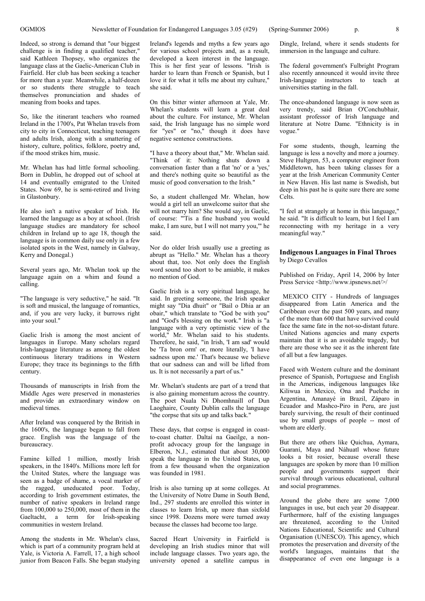Indeed, so strong is demand that "our biggest challenge is in finding a qualified teacher," said Kathleen Thopsey, who organizes the language class at the Gaelic-American Club in Fairfield. Her club has been seeking a teacher for more than a year. Meanwhile, a half-dozen or so students there struggle to teach themselves pronunciation and shades of meaning from books and tapes.

So, like the itinerant teachers who roamed Ireland in the 1700's, Pat Whelan travels from city to city in Connecticut, teaching teenagers and adults Irish, along with a smattering of history, culture, politics, folklore, poetry and, if the mood strikes him, music.

Mr. Whelan has had little formal schooling. Born in Dublin, he dropped out of school at 14 and eventually emigrated to the United States. Now 69, he is semi-retired and living in Glastonbury.

He also isn't a native speaker of Irish. He learned the language as a boy at school. (Irish language studies are mandatory for school children in Ireland up to age 18, though the language is in common daily use only in a few isolated spots in the West, namely in Galway, Kerry and Donegal.)

Several years ago, Mr. Whelan took up the language again on a whim and found a calling.

"The language is very seductive," he said. "It is soft and musical, the language of romantics, and, if you are very lucky, it burrows right into your soul."

Gaelic Irish is among the most ancient of languages in Europe. Many scholars regard Irish-language literature as among the oldest continuous literary traditions in Western Europe; they trace its beginnings to the fifth century.

Thousands of manuscripts in Irish from the Middle Ages were preserved in monasteries and provide an extraordinary window on medieval times.

After Ireland was conquered by the British in the 1600's, the language began to fall from grace. English was the language of the bureaucracy.

Famine killed 1 million, mostly Irish speakers, in the 1840's. Millions more left for the United States, where the language was seen as a badge of shame, a vocal marker of the ragged, uneducated poor. Today, according to Irish government estimates, the number of native speakers in Ireland range from  $100,000$  to  $250,000$ , most of them in the Gaeltacht, a term for Irish-speaking communities in western Ireland.

Among the students in Mr. Whelan's class, which is part of a community program held at Yale, is Victoria A. Farrell, 17, a high school junior from Beacon Falls. She began studying

Ireland's legends and myths a few years ago for various school projects and, as a result, developed a keen interest in the language. This is her first year of lessons. "Irish is harder to learn than French or Spanish, but I love it for what it tells me about my culture," she said.

On this bitter winter afternoon at Yale, Mr. Whelan's students will learn a great deal about the culture. For instance, Mr. Whelan said, the Irish language has no simple word for "yes" or "no," though it does have negative sentence constructions.

"I have a theory about that," Mr. Whelan said. "Think of it: Nothing shuts down a conversation faster than a flat 'no' or a 'yes,' and there's nothing quite so beautiful as the music of good conversation to the Irish."

So, a student challenged Mr. Whelan, how would a girl tell an unwelcome suitor that she will not marry him? She would say, in Gaelic, of course: "'Tis a fine husband you would make, I am sure, but I will not marry you,'" he said.

Nor do older Irish usually use a greeting as abrupt as "Hello." Mr. Whelan has a theory about that, too. Not only does the English word sound too short to be amiable, it makes no mention of God.

Gaelic Irish is a very spiritual language, he said. In greeting someone, the Irish speaker might say "Dia dhuit" or "Bail o Dhia ar an obair," which translate to "God be with you" and "God's blessing on the work." Irish is "a language with a very optimistic view of the world," Mr. Whelan said to his students. Therefore, he said, "in Irish, 'I am sad' would be 'Ta bron orm' or, more literally, 'I have sadness upon me.' That's because we believe that our sadness can and will be lifted from us. It is not necessarily a part of us."

Mr. Whelan's students are part of a trend that is also gaining momentum across the country. The poet Nuala Ni Dhomhnaill of Dun Laoghaire, County Dublin calls the language "the corpse that sits up and talks back."

These days, that corpse is engaged in coastto-coast chatter. Daltaí na Gaeilge, a nonprofit advocacy group for the language in Elberon, N.J., estimated that about 30,000 speak the language in the United States, up from a few thousand when the organization was founded in 1981.

Irish is also turning up at some colleges. At the University of Notre Dame in South Bend, Ind., 297 students are enrolled this winter in classes to learn Irish, up more than sixfold since 1998. Dozens more were turned away because the classes had become too large.

Sacred Heart University in Fairfield is developing an Irish studies minor that will include language classes. Two years ago, the university opened a satellite campus in

Dingle, Ireland, where it sends students for immersion in the language and culture.

The federal government's Fulbright Program also recently announced it would invite three Irish-language instructors to teach at universities starting in the fall.

The once-abandoned language is now seen as very trendy, said Brian O'Conchubhair, assistant professor of Irish language and literature at Notre Dame. "Ethnicity is in vogue."

For some students, though, learning the language is less a novelty and more a journey. Steve Hultgren, 53, a computer engineer from Middletown, has been taking classes for a year at the Irish American Community Center in New Haven. His last name is Swedish, but deep in his past he is quite sure there are some Celts.

"I feel at strangely at home in this language," he said. "It is difficult to learn, but I feel I am reconnecting with my heritage in a very meaningful way."

#### **Indigenous Languages in Final Throes** by Diego Cevallos

Published on Friday, April 14, 2006 by Inter Press Service <http://www.ipsnews.net/>/

MEXICO CITY - Hundreds of languages disappeared from Latin America and the Caribbean over the past  $500$  years, and many of the more than 600 that have survived could face the same fate in the not-so-distant future. United Nations agencies and many experts maintain that it is an avoidable tragedy, but there are those who see it as the inherent fate of all but a few languages.

Faced with Western culture and the dominant presence of Spanish, Portuguese and English in the Americas, indigenous languages like Kiliwua in Mexico, Ona and Puelche in Argentina, Amanayé in Brazil, Záparo in Ecuador and Mashco-Piro in Peru, are just barely surviving, the result of their continued use by small groups of people -- most of whom are elderly.

But there are others like Quichua, Aymara, Guaraní, Maya and Náhuatl whose future looks a bit rosier, because overall these languages are spoken by more than 10 million people and governments support their survival through various educational, cultural and social programmes.

Around the globe there are some 7,000 languages in use, but each year 20 disappear. Furthermore, half of the existing languages are threatened, according to the United Nations Educational, Scientific and Cultural Organisation (UNESCO). This agency, which promotes the preservation and diversity of the world's languages, maintains that the disappearance of even one language is a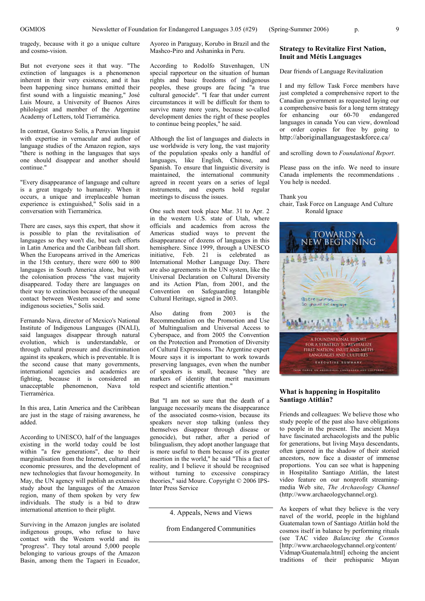tragedy, because with it go a unique culture and cosmo-vision.

But not everyone sees it that way. "The extinction of languages is a phenomenon inherent in their very existence, and it has been happening since humans emitted their first sound with a linguistic meaning," José Luis Moure, a University of Buenos Aires philologist and member of the Argentine Academy of Letters, told Tierramérica.

In contrast, Gustavo Solís, a Peruvian linguist with expertise in vernacular and author of language studies of the Amazon region, says "there is nothing in the languages that says one should disappear and another should continue."

"Every disappearance of language and culture is a great tragedy to humanity. When it occurs, a unique and irreplaceable human experience is extinguished," Solís said in a conversation with Tierramérica.

There are cases, says this expert, that show it is possible to plan the revitalisation of languages so they won't die, but such efforts in Latin America and the Caribbean fall short. When the Europeans arrived in the Americas in the 15th century, there were 600 to 800 languages in South America alone, but with the colonisation process "the vast majority disappeared. Today there are languages on their way to extinction because of the unequal contact between Western society and some indigenous societies," Solís said.

Fernando Nava, director of Mexico's National Institute of Indigenous Languages (INALI), said languages disappear through natural evolution, which is understandable, or through cultural pressure and discrimination against its speakers, which is preventable. It is the second cause that many governments, international agencies and academics are fighting, because it is considered an phenomenon, Nava told Tierramérica.

In this area, Latin America and the Caribbean are just in the stage of raising awareness, he added.

According to UNESCO, half of the languages existing in the world today could be lost within "a few generations", due to their marginalisation from the Internet, cultural and economic pressures, and the development of new technologies that favour homogeneity. In May, the UN agency will publish an extensive study about the languages of the Amazon region, many of them spoken by very few individuals. The study is a bid to draw international attention to their plight.

Surviving in the Amazon jungles are isolated indigenous groups, who refuse to have contact with the Western world and its "progress". They total around 5,000 people belonging to various groups of the Amazon Basin, among them the Tagaeri in Ecuador,

Ayoreo in Paraguay, Korubo in Brazil and the Mashco-Piro and Ashaninka in Peru.

According to Rodolfo Stavenhagen, UN special rapporteur on the situation of human rights and basic freedoms of indigenous peoples, these groups are facing "a true cultural genocide". "I fear that under current circumstances it will be difficult for them to survive many more years, because so-called development denies the right of these peoples to continue being peoples," he said.

Although the list of languages and dialects in use worldwide is very long, the vast majority of the population speaks only a handful of languages, like English, Chinese, and Spanish. To ensure that linguistic diversity is maintained, the international community agreed in recent years on a series of legal instruments, and experts hold regular meetings to discuss the issues.

One such meet took place Mar. 31 to Apr. 2 in the western U.S. state of Utah, where officials and academics from across the Americas studied ways to prevent the disappearance of dozens of languages in this hemisphere. Since 1999, through a UNESCO initiative, Feb. 21 is celebrated as International Mother Language Day. There are also agreements in the UN system, like the Universal Declaration on Cultural Diversity and its Action Plan, from 2001, and the Convention on Safeguarding Intangible Cultural Heritage, signed in 2003.

Also dating from 2003 is the Recommendation on the Promotion and Use of Multingualism and Universal Access to Cyberspace, and from 2005 the Convention on the Protection and Promotion of Diversity of Cultural Expressions. The Argentine expert Moure says it is important to work towards preserving languages, even when the number of speakers is small, because "they are markers of identity that merit maximum respect and scientific attention."

But "I am not so sure that the death of a language necessarily means the disappearance of the associated cosmo-vision, because its speakers never stop talking (unless they themselves disappear through disease or genocide), but rather, after a period of bilingualism, they adopt another language that is more useful to them because of its greater insertion in the world," he said "This a fact of reality, and I believe it should be recognised without turning to excessive conspiracy theories," said Moure. Copyright © 2006 IPS-Inter Press Service

4. Appeals, News and Views

from Endangered Communities

## **Strategy to Revitalize First Nation, Inuit and Métis Languages**

#### Dear friends of Language Revitalization

I and my fellow Task Force members have just completed a comprehensive report to the Canadian government as requested laying our a comprehensive basis for a long term strategy for enhancing our 60-70 endangered languages in canada You can view, download or order copies for free by going to http://aboriginallanguagestaskforce.ca/

#### and scrolling down to *Foundational Report*.

Please pass on the info. We need to insure Canada implements the recommendations . You help is needed.

Thank you

#### chair, Task Force on Language And Culture Ronald Ignace



#### **What is happening in Hospitalito Santiago Atitlán?**

Friends and colleagues: We believe those who study people of the past also have obligations to people in the present. The ancient Maya have fascinated archaeologists and the public for generations, but living Maya descendants, often ignored in the shadow of their storied ancestors, now face a disaster of immense proportions. You can see what is happening in Hospitalito Santiago Atitlán, the latest video feature on our nonprofit streamingmedia Web site, *The Archaeology Channel* (http://www.archaeologychannel.org).

As keepers of what they believe is the very navel of the world, people in the highland Guatemalan town of Santiago Atitlán hold the cosmos itself in balance by performing rituals (see TAC video *Balancing the Cosmos* [http://www.archaeologychannel.org/content/ Vidmap/Guatemala.html] echoing the ancient traditions of their prehispanic Mayan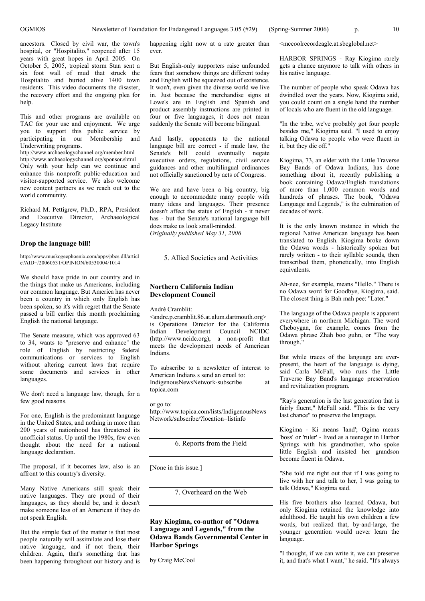ancestors. Closed by civil war, the town's hospital, or "Hospitalito," reopened after 15 years with great hopes in April 2005. On October 5, 2005, tropical storm Stan sent a six foot wall of mud that struck the Hospitalito and buried alive 1400 town residents. This video documents the disaster, the recovery effort and the ongoing plea for help.

This and other programs are available on TAC for your use and enjoyment. We urge you to support this public service by participating in our Membership and Underwriting programs.

http://www.archaeologychannel.org/member.html http://www.archaeologychannel.org/sponsor.shtml Only with your help can we continue and enhance this nonprofit public-education and visitor-supported service. We also welcome new content partners as we reach out to the world community.

Richard M. Pettigrew, Ph.D., RPA, President and Executive Director, Archaeological Legacy Institute

#### **Drop the language bill!**

http://www.muskogeephoenix.com/apps/pbcs.dll/articl e?AID=/20060531/OPINION/60530004/1014

We should have pride in our country and in the things that make us Americans, including our common language. But America has never been a country in which only English has been spoken, so it's with regret that the Senate passed a bill earlier this month proclaiming English the national language.

The Senate measure, which was approved 63 to 34, wants to "preserve and enhance" the role of English by restricting federal communications or services to English without altering current laws that require some documents and services in other languages.

We don't need a language law, though, for a few good reasons.

For one, English is the predominant language in the United States, and nothing in more than 200 years of nationhood has threatened its unofficial status. Up until the 1980s, few even thought about the need for a national language declaration.

The proposal, if it becomes law, also is an affront to this country's diversity.

Many Native Americans still speak their native languages. They are proud of their languages, as they should be, and it doesn't make someone less of an American if they do not speak English.

But the simple fact of the matter is that most people naturally will assimilate and lose their native language, and if not them, their children. Again, that's something that has been happening throughout our history and is happening right now at a rate greater than ever.

But English-only supporters raise unfounded fears that somehow things are different today and English will be squeezed out of existence. It won't, even given the diverse world we live in. Just because the merchandise signs at Lowe's are in English and Spanish and product assembly instructions are printed in four or five languages, it does not mean suddenly the Senate will become bilingual.

And lastly, opponents to the national language bill are correct - if made law, the Senate's bill could eventually negate executive orders, regulations, civil service guidances and other multilingual ordinances not officially sanctioned by acts of Congress.

We are and have been a big country, big enough to accommodate many people with many ideas and languages. Their presence doesn't affect the status of English - it never has - but the Senate's national language bill does make us look small-minded. *Originally published May 31, 2006*

5. Allied Societies and Activities

#### **Northern California Indian Development Council**

André Cramblit:

<andre.p.cramblit.86.at.alum.dartmouth.org> is Operations Director for the California Indian Development Council NCIDC (http://www.ncidc.org), a non-profit that meets the development needs of American Indians.

To subscribe to a newsletter of interest to American Indians s send an email to: IndigenousNewsNetwork-subscribe at topica.com

or go to: http://www.topica.com/lists/IndigenousNews Network/subscribe/?location=listinfo

6. Reports from the Field

[None in this issue.]

7. Overheard on the Web

#### **Ray Kiogima, co-author of "Odawa Language and Legends," from the Odawa Bands Governmental Center in Harbor Springs**

by Craig McCool

<mccoolrecordeagle.at.sbcglobal.net>

HARBOR SPRINGS - Ray Kiogima rarely gets a chance anymore to talk with others in his native language.

The number of people who speak Odawa has dwindled over the years. Now, Kiogima said, you could count on a single hand the number of locals who are fluent in the old language.

"In the tribe, we've probably got four people besides me," Kiogima said. "I used to enjoy talking Odawa to people who were fluent in it, but they die off."

Kiogima, 73, an elder with the Little Traverse Bay Bands of Odawa Indians, has done something about it, recently publishing a book containing Odawa/English translations of more than 1,000 common words and hundreds of phrases. The book, "Odawa Language and Legends," is the culmination of decades of work.

It is the only known instance in which the regional Native American language has been translated to English. Kiogima broke down the Odawa words - historically spoken but rarely written - to their syllable sounds, then transcribed them, phonetically, into English equivalents.

Ah-nee, for example, means "Hello." There is no Odawa word for Goodbye, Kiogima, said. The closest thing is Bah mah pee: "Later."

The language of the Odawa people is apparent everywhere in northern Michigan. The word Cheboygan, for example, comes from the Odawa phrase Zhah boo guhn, or "The way through."

But while traces of the language are everpresent, the heart of the language is dying, said Carla McFall, who runs the Little Traverse Bay Band's language preservation and revitalization program.

"Ray's generation is the last generation that is fairly fluent," McFall said. "This is the very last chance" to preserve the language.

Kiogima - Ki means 'land'; Ogima means 'boss' or 'ruler' - lived as a teenager in Harbor Springs with his grandmother, who spoke little English and insisted her grandson become fluent in Odawa.

"She told me right out that if I was going to live with her and talk to her, I was going to talk Odawa," Kiogima said.

His five brothers also learned Odawa, but only Kiogima retained the knowledge into adulthood. He taught his own children a few words, but realized that, by-and-large, the younger generation would never learn the language.

"I thought, if we can write it, we can preserve it, and that's what I want," he said. "It's always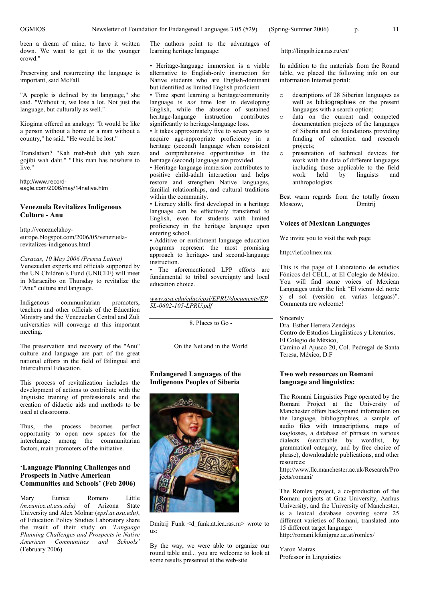been a dream of mine, to have it written down. We want to get it to the younger crowd."

Preserving and resurrecting the language is important, said McFall.

"A people is defined by its language," she said. "Without it, we lose a lot. Not just the language, but culturally as well."

Kiogima offered an analogy: "It would be like a person without a home or a man without a country," he said. "He would be lost."

Translation? "Kah mah-buh duh yah zeen gojibi wah daht." "This man has nowhere to live."

http://www.recordeagle.com/2006/may/14native.htm

### **Venezuela Revitalizes Indigenous Culture - Anu**

http://venezuelahoyeurope.blogspot.com/2006/05/venezuelarevitalizes-indigenous.html

*Caracas, 10 May 2006 (Prensa Latina)* Venezuelan experts and officials supported by the UN Children´s Fund (UNICEF) will meet in Maracaibo on Thursday to revitalize the "Anu" culture and language.

Indigenous communitarian promoters, teachers and other officials of the Education Ministry and the Venezuelan Central and Zuli universities will converge at this important meeting.

The preservation and recovery of the "Anu" culture and language are part of the great national efforts in the field of Bilingual and Intercultural Education.

This process of revitalization includes the development of actions to contribute with the linguistic training of professionals and the creation of didactic aids and methods to be used at classrooms.

Thus, the process becomes perfect opportunity to open new spaces for the interchange among the communitarian factors, main promoters of the initiative.

#### **'Language Planning Challenges and Prospects in Native American Communities and Schools'(Feb 2006)**

Mary Eunice Romero Little<br>
(*m.eunice.at.asu.edu*) of Arizona State *(m.eunice.at.asu.edu)* University and Alex Molnar (*epsl.at.asu.edu)*, of Education Policy Studies Laboratory share the result of their study on *'Language Planning Challenges and Prospects in Native American Communities and Schools'* (February 2006)

The authors point to the advantages of learning heritage language:

•Heritage-language immersion is a viable alternative to English-only instruction for Native students who are English-dominant but identified as limited English proficient.

•Time spent learning a heritage/community language is *not* time lost in developing English, while the absence of sustained heritage-language instruction contributes significantly to heritage-language loss.

•It takes approximately five to seven years to acquire age-appropriate proficiency in a heritage (second) language when consistent and comprehensive opportunities in the heritage (second) language are provided.

•Heritage-language immersion contributes to positive child-adult interaction and helps restore and strengthen Native languages, familial relationships, and cultural traditions within the community.

•Literacy skills first developed in a heritage language can be effectively transferred to English, even for students with limited proficiency in the heritage language upon entering school.

•Additive or enrichment language education programs represent the most promising approach to heritage- and second-language instruction.

The aforementioned LPP efforts are fundamental to tribal sovereignty and local education choice.

*www.asu.edu/educ/epsl/EPRU/documents/EP SL-0602-105-LPRU.pdf*

8. Places to Go -

On the Net and in the World

#### **Endangered Languages of the Indigenous Peoples of Siberia**



Dmitrij Funk <d\_funk.at.iea.ras.ru> wrote to us:

By the way, we were able to organize our round table and... you are welcome to look at some results presented at the web-site

http://lingsib.iea.ras.ru/en/

In addition to the materials from the Round table, we placed the following info on our information Internet portal:

- o descriptions of 28 Siberian languages as well as bibliographies on the present languages with a search option;
- o data on the current and competed documentation projects of the languages of Siberia and on foundations providing funding of education and research projects;
- o presentation of technical devices for work with the data of different languages including those applicable to the field<br>work held by linguists and held by linguists and anthropologists.

Best warm regards from the totally frozen Moscow, Dmitrij

#### **Voices of Mexican Languages**

We invite you to visit the web page

http://lef.colmex.mx

This is the page of Laboratorio de estudios Fónicos del CELL, at El Colegio de México. You will find some voices of Mexican Languages under the link "El viento del norte y el sol (versión en varias lenguas)". Comments are welcome!

Sincerely

Dra. Esther Herrera Zendejas Centro de Estudios Lingüísticos y Literarios, El Colegio de México, Camino al Ajusco 20, Col. Pedregal de Santa Teresa, México, D.F

#### **Two web resources on Romani language and linguistics:**

The Romani Linguistics Page operated by the Romani Project at the University of Manchester offers background information on the language, bibliographies, a sample of audio files with transcriptions, maps of isoglosses, a database of phrases in various dialects (searchable by wordlist, by grammatical category, and by free choice of phrase), downloadable publications, and other resources:

http://www.llc.manchester.ac.uk/Research/Pro jects/romani/

The Romlex project, a co-production of the Romani projects at Graz University, Aarhus University, and the University of Manchester, is a lexical database covering some 25 different varieties of Romani, translated into 15 different target language:

http://romani.kfunigraz.ac.at/romlex/

Yaron Matras Professor in Linguistics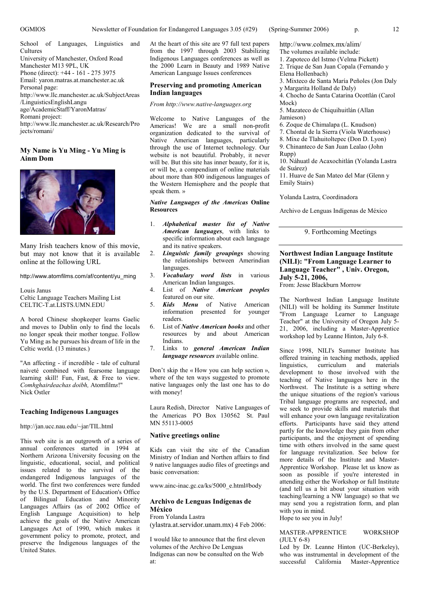School of Languages, Linguistics and **Cultures** University of Manchester, Oxford Road Manchester M13 9PL, UK Phone (direct): +44 - 161 - 275 3975 Email: yaron.matras.at.manchester.ac.uk Personal page:

http://www.llc.manchester.ac.uk/SubjectAreas /LinguisticsEnglishLangu age/AcademicStaff/YaronMatras/ Romani project:

http://www.llc.manchester.ac.uk/Research/Pro jects/romani/

#### **My Name is Yu Ming - Yu Ming is Ainm Dom**



Many Irish teachers know of this movie, but may not know that it is available online at the following URL

http://www.atomfilms.com/af/content/yu\_ming

Louis Janus Celtic Language Teachers Mailing List CELTIC-T.at.LISTS.UMN.EDU

A bored Chinese shopkeeper learns Gaelic and moves to Dublin only to find the locals no longer speak their mother tongue. Follow Yu Ming as he pursues his dream of life in the Celtic world. (13 minutes.)

"An affecting - if incredible - tale of cultural naiveté combined with fearsome language learning skill! Fun, Fast, & Free to view. *Comhghairdeachas doibh,* Atomfilm*s*!" Nick Ostler

#### **Teaching Indigenous Languages**

http://jan.ucc.nau.edu/~jar/TIL.html

This web site is an outgrowth of a series of annual conferences started in 1994 at Northern Arizona University focusing on the linguistic, educational, social, and political issues related to the survival of the endangered Indigenous languages of the world. The first two conferences were funded by the U.S. Department of Education's Office of Bilingual Education and Minority Languages Affairs (as of 2002 Office of English Language Acquisition) to help achieve the goals of the Native American Languages Act of 1990, which makes it government policy to promote, protect, and preserve the Indigenous languages of the United States.

At the heart of this site are 97 full text papers from the 1997 through 2003 Stabilizing Indigenous Languages conferences as well as the 2000 Learn in Beauty and 1989 Native American Language Issues conferences

#### **Preserving and promoting American Indian languages**

*From http://www.native-languages.org*

Welcome to Native Languages of the Americas! We are a small non-profit organization dedicated to the survival of Native American languages, particularly through the use of Internet technology. Our website is not beautiful. Probably, it never will be. But this site has inner beauty, for it is, or will be, a compendium of online materials about more than 800 indigenous languages of the Western Hemisphere and the people that speak them. »

*Native Languages of the Americas* **Online Resources**

- 1. *Alphabetical master list of Native American languages*, with links to specific information about each language and its native speakers.
- 2. *Linguistic family groupings* showing the relationships between Amerindian languages.
- 3. *Vocabulary word lists* in various American Indian languages.
- 4. List of *Native American peoples* featured on our site.
- 5. *Kids Menu* of Native American information presented for younger readers.
- 6. List of *Native American books* and other resources by and about American Indians.
- 7. Links to *general American Indian language resources* available online.

Don't skip the « How you can help section », where of the ten ways suggested to promote native languages only the last one has to do with money!

Laura Redish, Director Native Languages of the Americas PO Box 130562 St. Paul MN 55113-0005

#### **Native greetings online**

Kids can visit the site of the Canadian Ministry of Indian and Northen affairs to find 9 native languages audio files of greetings and basic conversation:

www.ainc-inac.gc.ca/ks/5000\_e.html#body

#### **Archivo de Lenguas Indígenas de México**

From Yolanda Lastra (ylastra.at.servidor.unam.mx) 4 Feb 2006:

I would like to announce that the first eleven volumes of the Archivo De Lenguas Indígenas can now be consulted on the Web at:

http://www.colmex.mx/alim/

- The volumes available include:
- 1. Zapoteco del Istmo (Velma Pickett)
- 2. Trique de San Juan Copala (Fernando y
- Elena Hollenbach)
- 3. Mixteco de Santa María Peñoles (Jon Daly
- y Margarita Holland de Daly)
- 4. Chocho de Santa Catarina Ocottlán (Carol Mock)

5. Mazateco de Chiquihuitlán (Allan Jamieson)

- 6. Zoque de Chimalapa (L. Knudson)
- 7. Chontal de la Sierra (Viola Waterhouse)
- 8. Mixe de Tlahuitoltepec (Don D. Lyon)
- 9. Chinanteco de San Juan Lealao (John
- Rupp)
- 10. Náhuatl de Acaxochitlán (Yolanda Lastra de Suárez)

11. Huave de San Mateo del Mar (Glenn y Emily Stairs)

Yolanda Lastra, Coordinadora

Archivo de Lenguas Indígenas de México

9. Forthcoming Meetings

#### **Northwest Indian Language Institute (NILI): "From Language Learner to Language Teacher" , Univ. Oregon, July 5-21, 2006,**

From: Jesse Blackburn Morrow

The Northwest Indian Language Institute (NILI) will be holding its Summer Institute "From Language Learner to Language Teacher" at the University of Oregon July 5- 21, 2006, including a Master-Apprentice workshop led by Leanne Hinton, July 6-8.

Since 1998, NILI's Summer Institute has offered training in teaching methods, applied<br>linguistics curriculum and materials curriculum and development to those involved with the teaching of Native languages here in the Northwest. The Institute is a setting where the unique situations of the region's various Tribal language programs are respected, and we seek to provide skills and materials that will enhance your own language revitalization efforts. Participants have said they attend partly for the knowledge they gain from other participants, and the enjoyment of spending time with others involved in the same quest for language revitalization. See below for more details of the Institute and Master-Apprentice Workshop. Please let us know as soon as possible if you're interested in attending either the Workshop or full Institute (and tell us a bit about your situation with teaching/learning a NW language) so that we may send you a registration form, and plan with you in mind.

Hope to see you in July!

#### MASTER-APPRENTICE WORKSHOP (JULY 6-8)

Led by Dr. Leanne Hinton (UC-Berkeley), who was instrumental in development of the successful California Master-Apprentice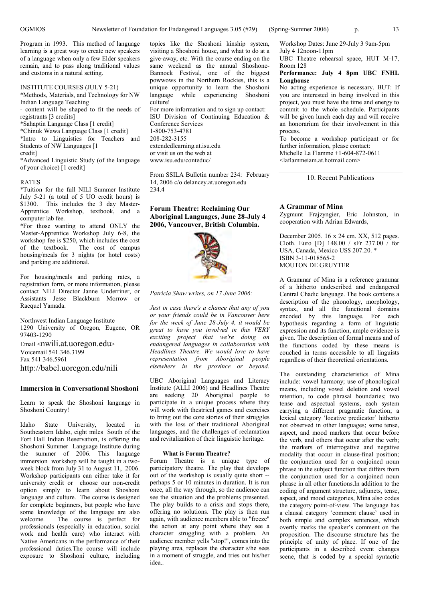Program in 1993. This method of language learning is a great way to create new speakers of a language when only a few Elder speakers remain, and to pass along traditional values and customs in a natural setting.

#### INSTITUTE COURSES (JULY 5-21)

\*Methods, Materials, and Technology for NW Indian Language Teaching

- content will be shaped to fit the needs of registrants [3 credits]

\*Sahaptin Language Class [1 credit]

\*Chinuk Wawa Language Class [1 credit]

\*Intro to Linguistics for Teachers and Students of NW Languages [1

#### credit]

\*Advanced Linguistic Study (of the language of your choice) [1 credit]

#### RATES

\*Tuition for the full NILI Summer Institute July 5-21 (a total of 5 UO credit hours) is \$1300. This includes the 3 day Master-Apprentice Workshop, textbook, and a computer lab fee.

\*For those wanting to attend ONLY the Master-Apprentice Workshop July 6-8, the workshop fee is \$250, which includes the cost of the textbook. The cost of campus housing/meals for 3 nights (or hotel costs) and parking are additional.

For housing/meals and parking rates, a registration form, or more information, please contact NILI Director Janne Underriner, or Assistants Jesse Blackburn Morrow or Racquel Yamada.

Northwest Indian Language Institute 1290 University of Oregon, Eugene, OR 97403-1290 Email <nwili.at.uoregon.edu> Voicemail 541.346.3199 Fax 541.346.5961 http://babel.uoregon.edu/nili

#### **Immersion in Conversational Shoshoni**

Learn to speak the Shoshoni language in Shoshoni Country!

Idaho State University, located in Southeastern Idaho, eight miles South of the Fort Hall Indian Reservation, is offering the Shoshoni Summer Language Institute during the summer of 2006. This language immersion workshop will be taught in a twoweek block from July 31 to August 11, 2006. Workshop participants can either take it for university credit or choose our non-credit option simply to learn about Shoshoni language and culture. The course is designed for complete beginners, but people who have some knowledge of the language are also<br>welcome. The course is perfect for The course is perfect for professionals (especially in education, social work and health care) who interact with Native Americans in the performance of their professional duties.The course will include exposure to Shoshoni culture, including

topics like the Shoshoni kinship system, visiting a Shoshoni house, and what to do at a give-away, etc. With the course ending on the same weekend as the annual Shoshone-Bannock Festival, one of the biggest powwows in the Northern Rockies, this is a unique opportunity to learn the Shoshoni language while experiencing Shoshoni culture! For more information and to sign up contact: ISU Division of Continuing Education & Conference Services 1-800-753-4781 208-282-3155 extendedlearning.at.isu.edu or visit us on the web at www.isu.edu/conteduc/

From SSILA Bulletin number 234: February 14, 2006 c/o delancey.at.uoregon.edu 234.4

**Forum Theatre: Reclaiming Our Aboriginal Languages, June 28-July 4 2006, Vancouver, British Columbia.**



*Patricia Shaw writes, on 17 June 2006:*

*Just in case there's a chance that any of you or your friends could be in Vancouver here for the week of June 28-July 4, it would be great to have you involved in this VERY exciting project that we're doing on endangered languages in collaboration with Headlines Theatre. We would love to have representation from Aboriginal people elsewhere in the province or beyond.*

UBC Aboriginal Languages and Literacy Institute (ALLI 2006) and Headlines Theatre are seeking 20 Aboriginal people to participate in a unique process where they will work with theatrical games and exercises to bring out the core stories of their struggles with the loss of their traditional Aboriginal languages, and the challenges of reclamation and revitalization of their linguistic heritage.

#### **What is Forum Theatre?**

Forum Theatre is a unique type of participatory theatre. The play that develops out of the workshop is usually quite short - perhaps 5 or 10 minutes in duration. It is run once, all the way through, so the audience can see the situation and the problems presented. The play builds to a crisis and stops there, offering no solutions. The play is then run again, with audience members able to "freeze" the action at any point where they see a character struggling with a problem. An audience member yells "stop!", comes into the playing area, replaces the character s/he sees in a moment of struggle, and tries out his/her idea..

Workshop Dates: June 29-July 3 9am-5pm July 4 12noon-11pm

UBC Theatre rehearsal space, HUT M-17, Room 128

**Performance: July 4 8pm UBC FNHL Longhouse**

No acting experience is necessary. BUT: If you are interested in being involved in this project, you must have the time and energy to commit to the whole schedule. Participants will be given lunch each day and will receive an honorarium for their involvement in this process.

To become a workshop participant or for further information, please contact: Michelle La Flamme +1-604-872-0611

<laflammeiam.at.hotmail.com>

10. Recent Publications

#### **A Grammar of Mina**

Zygmunt Frajzyngier, Eric Johnston, in cooperation with Adrian Edwards,

December 2005. 16 x 24 cm. XX, 512 pages. Cloth. Euro [D] 148.00 / sFr 237.00 / for USA, Canada, Mexico US\$ 207.20. \* ISBN 3-11-018565-2 MOUTON DE GRUYTER

A Grammar of Mina is a reference grammar of a hitherto undescribed and endangered Central Chadic language. The book contains a description of the phonology, morphology, syntax, and all the functional domains encoded by this language. For each hypothesis regarding a form of linguistic expression and its function, ample evidence is given. The description of formal means and of the functions coded by these means is couched in terms accessible to all linguists regardless of their theoretical orientations.

The outstanding characteristics of Mina include: vowel harmony; use of phonological means, including vowel deletion and vowel retention, to code phrasal boundaries; two tense and aspectual systems, each system carrying a different pragmatic function; a lexical category 'locative predicator' hitherto not observed in other languages; some tense, aspect, and mood markers that occur before the verb, and others that occur after the verb; the markers of interrogative and negative modality that occur in clause-final position; the conjunction used for a conjoined noun phrase in the subject function that differs from the conjunction used for a conjoined noun phrase in all other functions.In addition to the coding of argument structure, adjuncts, tense, aspect, and mood categories, Mina also codes the category point-of-view. The language has a clausal category 'comment clause'used in both simple and complex sentences, which overtly marks the speaker's comment on the proposition. The discourse structure has the principle of unity of place. If one of the participants in a described event changes scene, that is coded by a special syntactic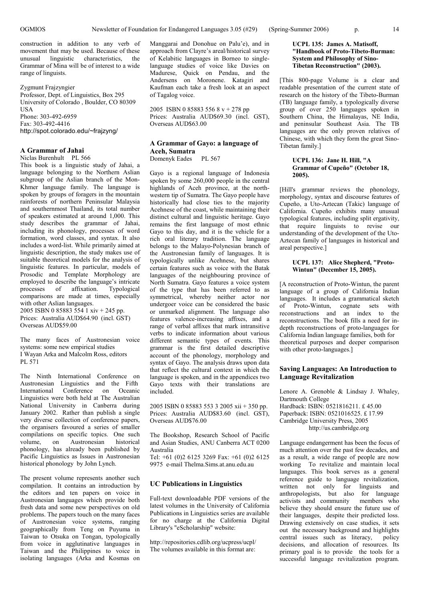construction in addition to any verb of movement that may be used. Because of these unusual linguistic characteristics, the Grammar of Mina will be of interest to a wide range of linguists.

#### Zygmunt Frajzyngier

Professor, Dept. of Linguistics, Box 295 University of Colorado , Boulder, CO 80309 **I** IS A Phone: 303-492-6959 Fax: 303-492-4416 http://spot.colorado.edu/~frajzyng/

### **A Grammar of Jahai**

Niclas Burenhult PL 566

This book is a linguistic study of Jahai, a language belonging to the Northern Aslian subgroup of the Aslian branch of the Mon-Khmer language family. The language is spoken by groups of foragers in the mountain rainforests of northern Peninsular Malaysia and southernmost Thailand, its total number of speakers estimated at around 1,000. This study describes the grammar of Jahai, including its phonology, processes of word formation, word classes, and syntax. It also includes a word-list. While primarily aimed at linguistic description, the study makes use of suitable theoretical models for the analysis of linguistic features. In particular, models of Prosodic and Template Morphology are employed to describe the language's intricate processes of affixation. Typological comparisons are made at times, especially with other Aslian languages. 2005 ISBN 0 85883 554 1 xiv + 245 pp.

Prices: Australia AUD\$64.90 (incl. GST) Overseas AUD\$59.00

The many faces of Austronesian voice systems: some new empirical studies I Wayan Arka and Malcolm Ross, editors PL 571

The Ninth International Conference on Austronesian Linguistics and the Fifth International Conference on Oceanic Linguistics were both held at The Australian National University in Canberra during January 2002. Rather than publish a single very diverse collection of conference papers, the organisers favoured a series of smaller compilations on specific topics. One such volume, on Austronesian historical phonology, has already been published by Pacific Linguistics as Issues in Austronesian historical phonology by John Lynch.

The present volume represents another such compilation. It contains an introduction by the editors and ten papers on voice in Austronesian languages which provide both fresh data and some new perspectives on old problems. The papers touch on the many faces of Austronesian voice systems, ranging geographically from Teng on Puyuma in Taiwan to Otsuka on Tongan, typologically from voice in agglutinative languages in Taiwan and the Philippines to voice in isolating languages (Arka and Kosmas on

Manggarai and Donohue on Palu'e), and in approach from Clayre's areal/historical survey of Kelabitic languages in Borneo to singlelanguage studies of voice like Davies on Madurese, Quick on Pendau, and the Andersens on Moronene. Katagiri and Kaufman each take a fresh look at an aspect of Tagalog voice.

2005 ISBN 0 85883 556 8 v + 278 pp Prices: Australia AUD\$69.30 (incl. GST), Overseas AUD\$63.00

## **A Grammar of Gayo: a language of Aceh, Sumatra**

Domenyk Eades PL 567

Gayo is a regional language of Indonesia spoken by some 260,000 people in the central highlands of Aceh province, at the northwestern tip of Sumatra. The Gayo people have historically had close ties to the majority Acehnese of the coast, while maintaining their distinct cultural and linguistic heritage. Gayo remains the first language of most ethnic Gayo to this day, and it is the vehicle for a rich oral literary tradition. The language belongs to the Malayo-Polynesian branch of the Austronesian family of languages. It is typologically unlike Acehnese, but shares certain features such as voice with the Batak languages of the neighbouring province of North Sumatra. Gayo features a voice system of the type that has been referred to as symmetrical, whereby neither actor nor undergoer voice can be considered the basic or unmarked alignment. The language also features valence-increasing affixes, and a range of verbal affixes that mark intransitive verbs to indicate information about various different semantic types of events. This grammar is the first detailed descriptive account of the phonology, morphology and syntax of Gayo. The analysis draws upon data that reflect the cultural context in which the language is spoken, and in the appendices two Gayo texts with their translations are included.

2005 ISBN 0 85883 553 3 2005 xii + 350 pp. Prices: Australia AUD\$83.60 (incl. GST), Overseas AUD\$76.00

The Bookshop, Research School of Pacific and Asian Studies, ANU Canberra ACT 0200 Australia

Tel: +61 (0)2 6125 3269 Fax: +61 (0)2 6125 9975 e-mail Thelma.Sims.at.anu.edu.au

#### **UC Publications in Linguistics**

Full-text downloadable PDF versions of the latest volumes in the University of California Publications in Linguistics series are available for no charge at the California Digital Library's "eScholarship" website:

http://repositories.cdlib.org/ucpress/ucpl/ The volumes available in this format are:

#### **UCPL 135: James A. Matisoff, "Handbook of Proto-Tibeto-Burman: System and Philosophy of Sino-Tibetan Reconstruction" (2003).**

[This 800-page Volume is a clear and readable presentation of the current state of research on the history of the Tibeto-Burman (TB) language family, a typologically diverse group of over 250 languages spoken in Southern China, the Himalayas, NE India, and peninsular Southeast Asia. The TB languages are the only proven relatives of Chinese, with which they form the great Sino-Tibetan family.]

#### **UCPL 136: Jane H. Hill, "A Grammar of Cupeño" (October 18, 2005).**

[Hill's grammar reviews the phonology, morphology, syntax and discourse features of Cupeño, a Uto-Aztecan (Takic) language of California. Cupeño exhibits many unusual typological features, including split ergativity, that require linguists to revise our understanding of the development of the Uto-Aztecan family of languages in historical and areal perspective.]

#### **UCPL 137: Alice Shepherd, "Proto-Wintun" (December 15, 2005).**

[A reconstruction of Proto-Wintun, the parent language of a group of California Indian languages. It includes a grammatical sketch of Proto-Wintun, cognate sets with reconstructions and an index to the reconstructions. The book fills a need for indepth reconstructions of proto-languages for California Indian language families, both for theoretical purposes and deeper comparison with other proto-languages.

#### **Saving Languages: An Introduction to Language Revitalization**

Lenore A. Grenoble & Lindsay J. Whaley, Dartmouth College Hardback: ISBN: 0521816211. £ 45.00 Paperback: ISBN: 0521016525. £ 17.99 Cambridge University Press, 2005 http://us.cambridge.org

Language endangerment has been the focus of much attention over the past few decades, and as a result, a wide range of people are now working To revitalize and maintain local languages. This book serves as a general reference guide to language revitalization, written not only for linguists and anthropologists, but also for language activists and community members who believe they should ensure the future use of their languages, despite their predicted loss. Drawing extensively on case studies, it sets out the necessary background and highlights central issues such as literacy, policy decisions, and allocation of resources. Its primary goal is to provide the tools for a successful language revitalization program.